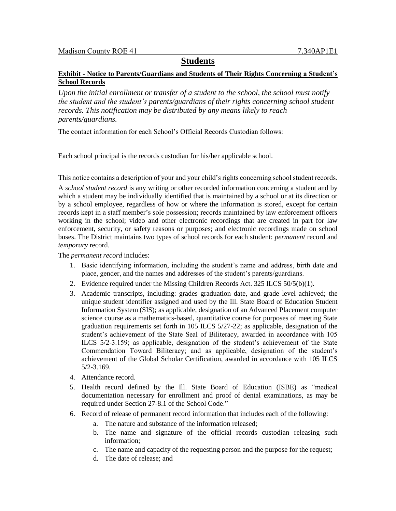# **Students**

### **Exhibit - Notice to Parents/Guardians and Students of Their Rights Concerning a Student's School Records**

*Upon the initial enrollment or transfer of a student to the school, the school must notify the student and the student's parents/guardians of their rights concerning school student records. This notification may be distributed by any means likely to reach parents/guardians.*

The contact information for each School's Official Records Custodian follows:

Each school principal is the records custodian for his/her applicable school.

This notice contains a description of your and your child's rights concerning school student records.

A *school student record* is any writing or other recorded information concerning a student and by which a student may be individually identified that is maintained by a school or at its direction or by a school employee, regardless of how or where the information is stored, except for certain records kept in a staff member's sole possession; records maintained by law enforcement officers working in the school; video and other electronic recordings that are created in part for law enforcement, security, or safety reasons or purposes; and electronic recordings made on school buses. The District maintains two types of school records for each student: *permanent* record and *temporary* record.

The *permanent record* includes:

- 1. Basic identifying information, including the student's name and address, birth date and place, gender, and the names and addresses of the student's parents/guardians.
- 2. Evidence required under the Missing Children Records Act. 325 ILCS 50/5(b)(1).
- 3. Academic transcripts, including: grades graduation date, and grade level achieved; the unique student identifier assigned and used by the Ill. State Board of Education Student Information System (SIS); as applicable, designation of an Advanced Placement computer science course as a mathematics-based, quantitative course for purposes of meeting State graduation requirements set forth in 105 ILCS 5/27-22; as applicable, designation of the student's achievement of the State Seal of Biliteracy, awarded in accordance with 105 ILCS 5/2-3.159; as applicable, designation of the student's achievement of the State Commendation Toward Biliteracy; and as applicable, designation of the student's achievement of the Global Scholar Certification, awarded in accordance with 105 ILCS 5/2-3.169.
- 4. Attendance record.
- 5. Health record defined by the Ill. State Board of Education (ISBE) as "medical documentation necessary for enrollment and proof of dental examinations, as may be required under Section 27-8.1 of the School Code."
- 6. Record of release of permanent record information that includes each of the following:
	- a. The nature and substance of the information released;
	- b. The name and signature of the official records custodian releasing such information;
	- c. The name and capacity of the requesting person and the purpose for the request;
	- d. The date of release; and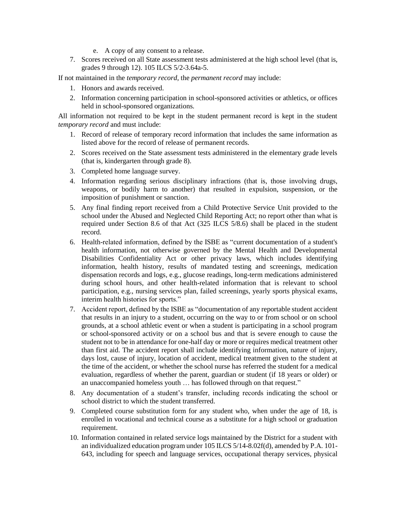- e. A copy of any consent to a release.
- 7. Scores received on all State assessment tests administered at the high school level (that is, grades 9 through 12). 105 ILCS 5/2-3.64a-5.

If not maintained in the *temporary record*, the *permanent record* may include:

- 1. Honors and awards received.
- 2. Information concerning participation in school-sponsored activities or athletics, or offices held in school-sponsored organizations.

All information not required to be kept in the student permanent record is kept in the student *temporary record* and must include:

- 1. Record of release of temporary record information that includes the same information as listed above for the record of release of permanent records.
- 2. Scores received on the State assessment tests administered in the elementary grade levels (that is, kindergarten through grade 8).
- 3. Completed home language survey.
- 4. Information regarding serious disciplinary infractions (that is, those involving drugs, weapons, or bodily harm to another) that resulted in expulsion, suspension, or the imposition of punishment or sanction.
- 5. Any final finding report received from a Child Protective Service Unit provided to the school under the Abused and Neglected Child Reporting Act; no report other than what is required under Section 8.6 of that Act (325 ILCS 5/8.6) shall be placed in the student record.
- 6. Health-related information, defined by the ISBE as "current documentation of a student's health information, not otherwise governed by the Mental Health and Developmental Disabilities Confidentiality Act or other privacy laws, which includes identifying information, health history, results of mandated testing and screenings, medication dispensation records and logs, e.g., glucose readings, long-term medications administered during school hours, and other health-related information that is relevant to school participation, e.g., nursing services plan, failed screenings, yearly sports physical exams, interim health histories for sports."
- 7. Accident report, defined by the ISBE as "documentation of any reportable student accident that results in an injury to a student, occurring on the way to or from school or on school grounds, at a school athletic event or when a student is participating in a school program or school-sponsored activity or on a school bus and that is severe enough to cause the student not to be in attendance for one-half day or more or requires medical treatment other than first aid. The accident report shall include identifying information, nature of injury, days lost, cause of injury, location of accident, medical treatment given to the student at the time of the accident, or whether the school nurse has referred the student for a medical evaluation, regardless of whether the parent, guardian or student (if 18 years or older) or an unaccompanied homeless youth … has followed through on that request."
- 8. Any documentation of a student's transfer, including records indicating the school or school district to which the student transferred.
- 9. Completed course substitution form for any student who, when under the age of 18, is enrolled in vocational and technical course as a substitute for a high school or graduation requirement.
- 10. Information contained in related service logs maintained by the District for a student with an individualized education program under 105 ILCS 5/14-8.02f(d), amended by P.A. 101- 643, including for speech and language services, occupational therapy services, physical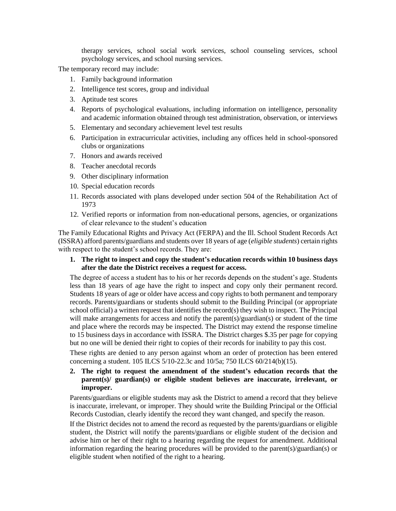therapy services, school social work services, school counseling services, school psychology services, and school nursing services.

The temporary record may include:

- 1. Family background information
- 2. Intelligence test scores, group and individual
- 3. Aptitude test scores
- 4. Reports of psychological evaluations, including information on intelligence, personality and academic information obtained through test administration, observation, or interviews
- 5. Elementary and secondary achievement level test results
- 6. Participation in extracurricular activities, including any offices held in school-sponsored clubs or organizations
- 7. Honors and awards received
- 8. Teacher anecdotal records
- 9. Other disciplinary information
- 10. Special education records
- 11. Records associated with plans developed under section 504 of the Rehabilitation Act of 1973
- 12. Verified reports or information from non-educational persons, agencies, or organizations of clear relevance to the student's education

The Family Educational Rights and Privacy Act (FERPA) and the Ill. School Student Records Act (ISSRA) afford parents/guardians and students over 18 years of age (*eligible students*) certain rights with respect to the student's school records. They are:

**1. The right to inspect and copy the student's education records within 10 business days after the date the District receives a request for access.**

The degree of access a student has to his or her records depends on the student's age. Students less than 18 years of age have the right to inspect and copy only their permanent record. Students 18 years of age or older have access and copy rights to both permanent and temporary records. Parents/guardians or students should submit to the Building Principal (or appropriate school official) a written request that identifies the record(s) they wish to inspect. The Principal will make arrangements for access and notify the parent(s)/guardian(s) or student of the time and place where the records may be inspected. The District may extend the response timeline to 15 business days in accordance with ISSRA. The District charges \$.35 per page for copying but no one will be denied their right to copies of their records for inability to pay this cost.

These rights are denied to any person against whom an order of protection has been entered concerning a student. 105 ILCS 5/10-22.3c and 10/5a; 750 ILCS 60/214(b)(15).

**2. The right to request the amendment of the student's education records that the parent(s)/ guardian(s) or eligible student believes are inaccurate, irrelevant, or improper.**

Parents/guardians or eligible students may ask the District to amend a record that they believe is inaccurate, irrelevant, or improper. They should write the Building Principal or the Official Records Custodian, clearly identify the record they want changed, and specify the reason.

If the District decides not to amend the record as requested by the parents/guardians or eligible student, the District will notify the parents/guardians or eligible student of the decision and advise him or her of their right to a hearing regarding the request for amendment. Additional information regarding the hearing procedures will be provided to the parent(s)/guardian(s) or eligible student when notified of the right to a hearing.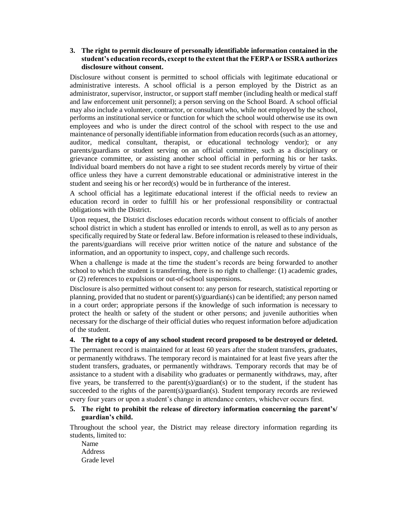### **3. The right to permit disclosure of personally identifiable information contained in the student's education records, except to the extent that the FERPA or ISSRA authorizes disclosure without consent.**

Disclosure without consent is permitted to school officials with legitimate educational or administrative interests. A school official is a person employed by the District as an administrator, supervisor, instructor, or support staff member (including health or medical staff and law enforcement unit personnel); a person serving on the School Board. A school official may also include a volunteer, contractor, or consultant who, while not employed by the school, performs an institutional service or function for which the school would otherwise use its own employees and who is under the direct control of the school with respect to the use and maintenance of personally identifiable information from education records (such as an attorney, auditor, medical consultant, therapist, or educational technology vendor); or any parents/guardians or student serving on an official committee, such as a disciplinary or grievance committee, or assisting another school official in performing his or her tasks. Individual board members do not have a right to see student records merely by virtue of their office unless they have a current demonstrable educational or administrative interest in the student and seeing his or her record(s) would be in furtherance of the interest.

A school official has a legitimate educational interest if the official needs to review an education record in order to fulfill his or her professional responsibility or contractual obligations with the District.

Upon request, the District discloses education records without consent to officials of another school district in which a student has enrolled or intends to enroll, as well as to any person as specifically required by State or federal law. Before information is released to these individuals, the parents/guardians will receive prior written notice of the nature and substance of the information, and an opportunity to inspect, copy, and challenge such records.

When a challenge is made at the time the student's records are being forwarded to another school to which the student is transferring, there is no right to challenge: (1) academic grades, or (2) references to expulsions or out-of-school suspensions.

Disclosure is also permitted without consent to: any person for research, statistical reporting or planning, provided that no student or parent(s)/guardian(s) can be identified; any person named in a court order; appropriate persons if the knowledge of such information is necessary to protect the health or safety of the student or other persons; and juvenile authorities when necessary for the discharge of their official duties who request information before adjudication of the student.

#### **4. The right to a copy of any school student record proposed to be destroyed or deleted.**

The permanent record is maintained for at least 60 years after the student transfers, graduates, or permanently withdraws. The temporary record is maintained for at least five years after the student transfers, graduates, or permanently withdraws. Temporary records that may be of assistance to a student with a disability who graduates or permanently withdraws, may, after five years, be transferred to the parent(s)/guardian(s) or to the student, if the student has succeeded to the rights of the parent(s)/guardian(s). Student temporary records are reviewed every four years or upon a student's change in attendance centers, whichever occurs first.

## **5. The right to prohibit the release of directory information concerning the parent's/ guardian's child.**

Throughout the school year, the District may release directory information regarding its students, limited to:

Name Address Grade level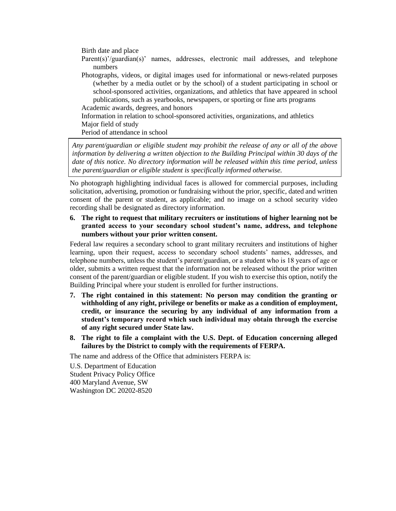Birth date and place

Parent(s)'/guardian(s)' names, addresses, electronic mail addresses, and telephone numbers

Photographs, videos, or digital images used for informational or news-related purposes (whether by a media outlet or by the school) of a student participating in school or school-sponsored activities, organizations, and athletics that have appeared in school publications, such as yearbooks, newspapers, or sporting or fine arts programs Academic awards, degrees, and honors

Information in relation to school-sponsored activities, organizations, and athletics Major field of study

Period of attendance in school

*Any parent/guardian or eligible student may prohibit the release of any or all of the above information by delivering a written objection to the Building Principal within 30 days of the date of this notice. No directory information will be released within this time period, unless the parent/guardian or eligible student is specifically informed otherwise.*

No photograph highlighting individual faces is allowed for commercial purposes, including solicitation, advertising, promotion or fundraising without the prior, specific, dated and written consent of the parent or student, as applicable; and no image on a school security video recording shall be designated as directory information.

**6. The right to request that military recruiters or institutions of higher learning not be granted access to your secondary school student's name, address, and telephone numbers without your prior written consent.**

Federal law requires a secondary school to grant military recruiters and institutions of higher learning, upon their request, access to secondary school students' names, addresses, and telephone numbers, unless the student's parent/guardian, or a student who is 18 years of age or older, submits a written request that the information not be released without the prior written consent of the parent/guardian or eligible student. If you wish to exercise this option, notify the Building Principal where your student is enrolled for further instructions.

- **7. The right contained in this statement: No person may condition the granting or withholding of any right, privilege or benefits or make as a condition of employment, credit, or insurance the securing by any individual of any information from a student's temporary record which such individual may obtain through the exercise of any right secured under State law.**
- **8. The right to file a complaint with the U.S. Dept. of Education concerning alleged failures by the District to comply with the requirements of FERPA.**

The name and address of the Office that administers FERPA is:

U.S. Department of Education Student Privacy Policy Office 400 Maryland Avenue, SW Washington DC 20202-8520